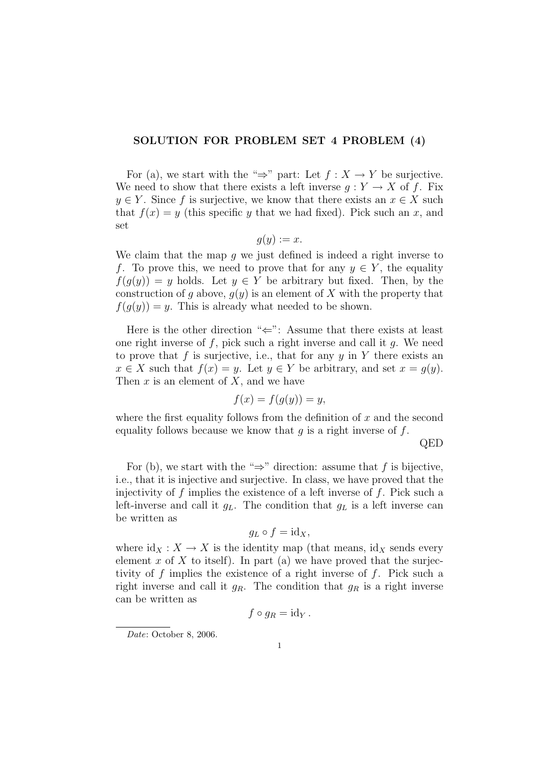## SOLUTION FOR PROBLEM SET 4 PROBLEM (4)

For (a), we start with the " $\Rightarrow$ " part: Let  $f : X \to Y$  be surjective. We need to show that there exists a left inverse  $q: Y \to X$  of f. Fix  $y \in Y$ . Since f is surjective, we know that there exists an  $x \in X$  such that  $f(x) = y$  (this specific y that we had fixed). Pick such an x, and set

$$
g(y) := x.
$$

We claim that the map q we just defined is indeed a right inverse to f. To prove this, we need to prove that for any  $y \in Y$ , the equality  $f(g(y)) = y$  holds. Let  $y \in Y$  be arbitrary but fixed. Then, by the construction of g above,  $g(y)$  is an element of X with the property that  $f(q(y)) = y$ . This is already what needed to be shown.

Here is the other direction " $\Leftarrow$ ": Assume that there exists at least one right inverse of  $f$ , pick such a right inverse and call it  $q$ . We need to prove that f is surjective, i.e., that for any  $y$  in Y there exists an  $x \in X$  such that  $f(x) = y$ . Let  $y \in Y$  be arbitrary, and set  $x = g(y)$ . Then  $x$  is an element of  $X$ , and we have

$$
f(x) = f(g(y)) = y,
$$

where the first equality follows from the definition of  $x$  and the second equality follows because we know that  $g$  is a right inverse of  $f$ .

QED

For (b), we start with the " $\Rightarrow$ " direction: assume that f is bijective, i.e., that it is injective and surjective. In class, we have proved that the injectivity of  $f$  implies the existence of a left inverse of  $f$ . Pick such a left-inverse and call it  $g_L$ . The condition that  $g_L$  is a left inverse can be written as

$$
g_L \circ f = \mathrm{id}_X,
$$

where  $\mathrm{id}_X : X \to X$  is the identity map (that means,  $\mathrm{id}_X$  sends every element x of X to itself). In part (a) we have proved that the surjectivity of  $f$  implies the existence of a right inverse of  $f$ . Pick such a right inverse and call it  $g_R$ . The condition that  $g_R$  is a right inverse can be written as

$$
f\circ g_R = \mathrm{id}_Y.
$$

Date: October 8, 2006.